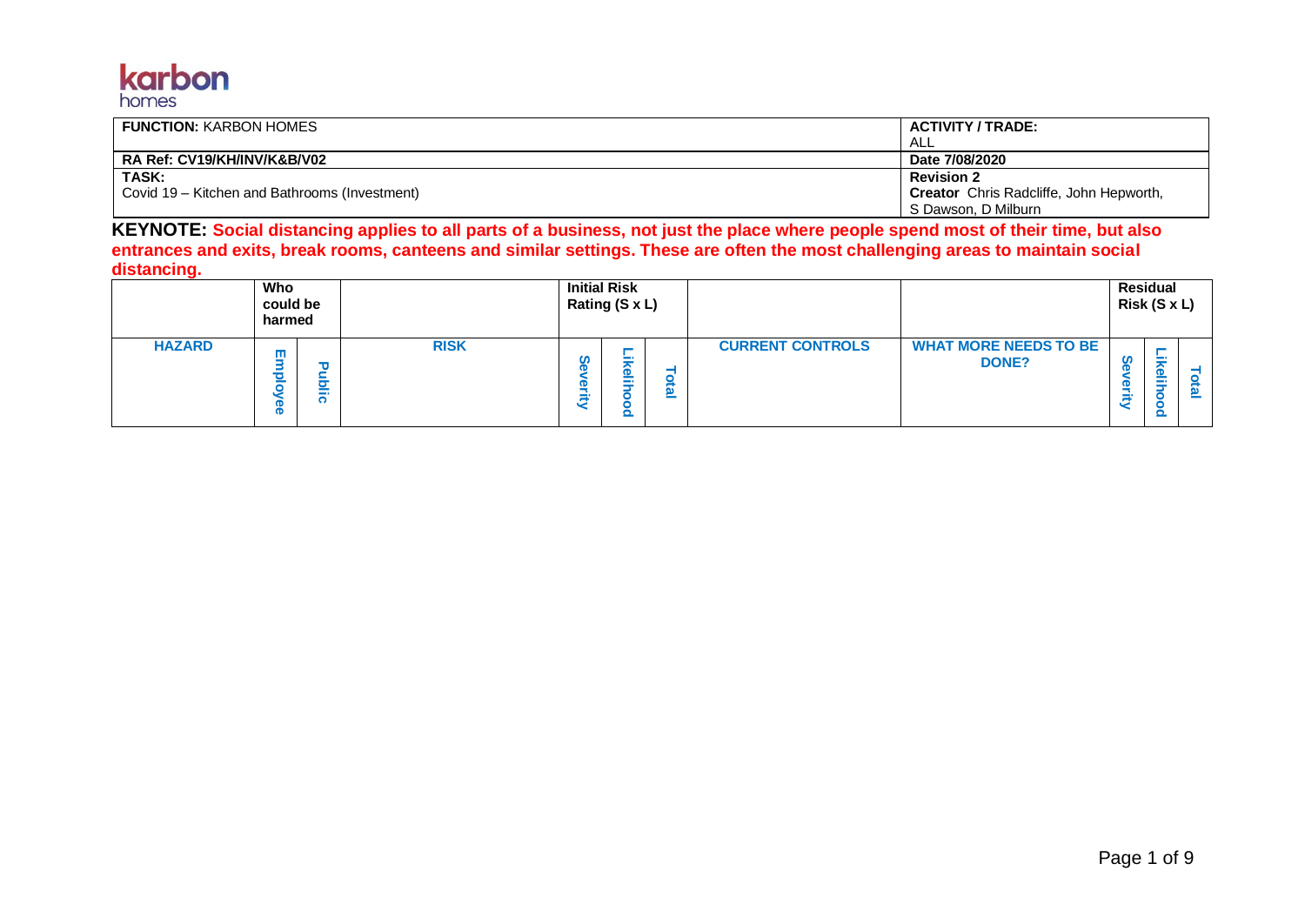## karbon homes

| <b>FUNCTION: KARBON HOMES</b>                 | ACTIVITY / TRADE:                              |
|-----------------------------------------------|------------------------------------------------|
|                                               | ALL                                            |
| RA Ref: CV19/KH/INV/K&B/V02                   | Date 7/08/2020                                 |
| TASK:                                         | <b>Revision 2</b>                              |
| Covid 19 – Kitchen and Bathrooms (Investment) | <b>Creator</b> Chris Radcliffe, John Hepworth, |
|                                               | S Dawson, D Milburn                            |

**KEYNOTE: Social distancing applies to all parts of a business, not just the place where people spend most of their time, but also entrances and exits, break rooms, canteens and similar settings. These are often the most challenging areas to maintain social distancing.**

|               | Who<br>could be<br>harmed |             |             |        | <b>Initial Risk</b><br>Rating (S x L) |         |                         |                                       |   | <b>Residual</b><br>Risk (S x L) |   |
|---------------|---------------------------|-------------|-------------|--------|---------------------------------------|---------|-------------------------|---------------------------------------|---|---------------------------------|---|
| <b>HAZARD</b> | ш                         | ъ<br>-<br>ī | <b>RISK</b> | ഗ<br>ā | --                                    | Ø.<br>= | <b>CURRENT CONTROLS</b> | <b>WHAT MORE NEEDS TO BE</b><br>DONE? | ت | 6<br>÷                          | ≝ |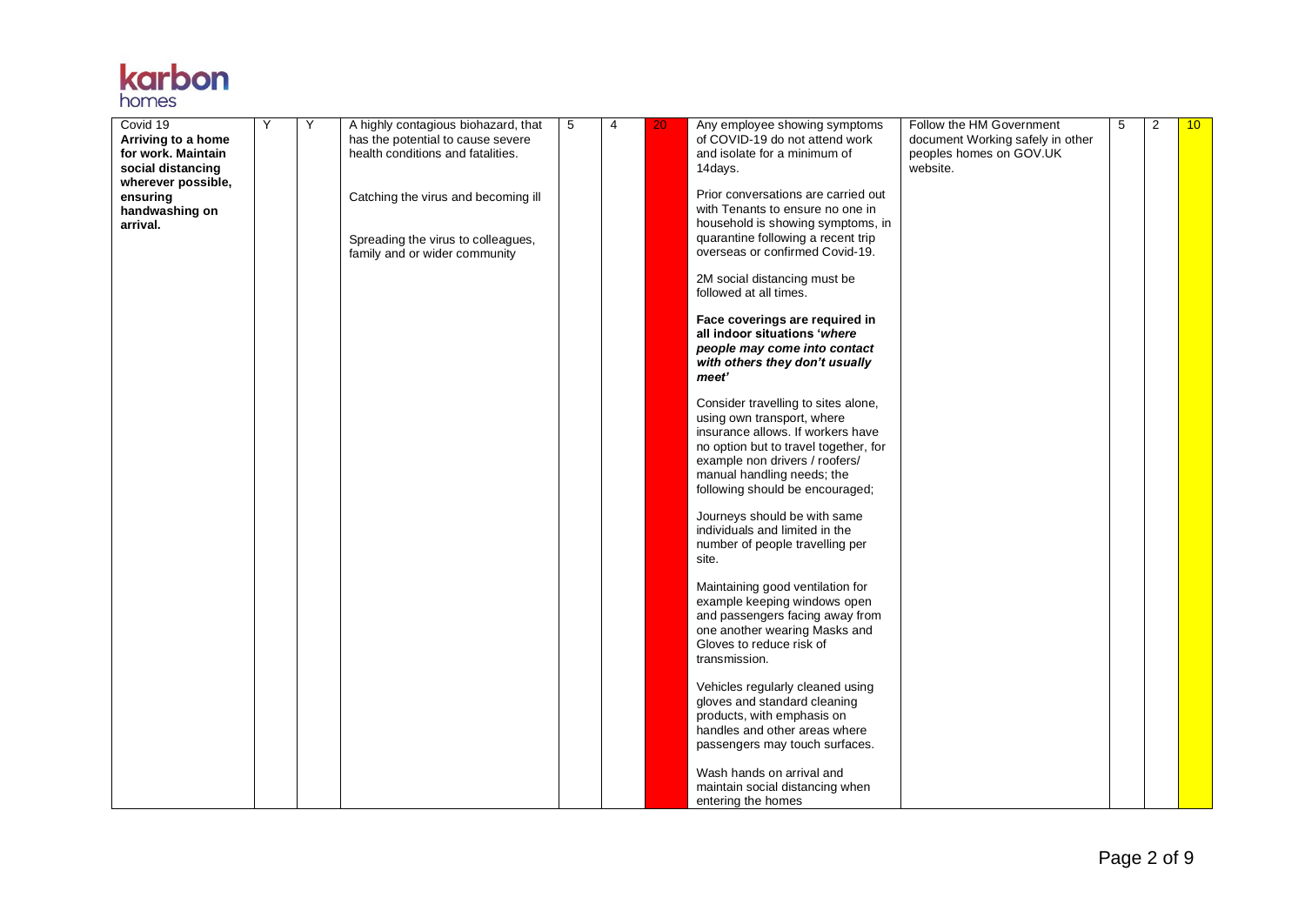## **karbon**

| Covid 19<br>Arriving to a home<br>for work. Maintain<br>social distancing<br>wherever possible,<br>ensuring<br>handwashing on | Υ | Y | A highly contagious biohazard, that<br>has the potential to cause severe<br>health conditions and fatalities.<br>Catching the virus and becoming ill | 5 | 4 | 20 | Any employee showing symptoms<br>of COVID-19 do not attend work<br>and isolate for a minimum of<br>14days.<br>Prior conversations are carried out<br>with Tenants to ensure no one in                                                              | Follow the HM Government<br>document Working safely in other<br>peoples homes on GOV.UK<br>website. | 5 | 2 | 10 <sup>°</sup> |
|-------------------------------------------------------------------------------------------------------------------------------|---|---|------------------------------------------------------------------------------------------------------------------------------------------------------|---|---|----|----------------------------------------------------------------------------------------------------------------------------------------------------------------------------------------------------------------------------------------------------|-----------------------------------------------------------------------------------------------------|---|---|-----------------|
| arrival.                                                                                                                      |   |   | Spreading the virus to colleagues,<br>family and or wider community                                                                                  |   |   |    | household is showing symptoms, in<br>quarantine following a recent trip<br>overseas or confirmed Covid-19.                                                                                                                                         |                                                                                                     |   |   |                 |
|                                                                                                                               |   |   |                                                                                                                                                      |   |   |    | 2M social distancing must be<br>followed at all times.                                                                                                                                                                                             |                                                                                                     |   |   |                 |
|                                                                                                                               |   |   |                                                                                                                                                      |   |   |    | Face coverings are required in<br>all indoor situations 'where<br>people may come into contact<br>with others they don't usually<br>meet'                                                                                                          |                                                                                                     |   |   |                 |
|                                                                                                                               |   |   |                                                                                                                                                      |   |   |    | Consider travelling to sites alone,<br>using own transport, where<br>insurance allows. If workers have<br>no option but to travel together, for<br>example non drivers / roofers/<br>manual handling needs; the<br>following should be encouraged; |                                                                                                     |   |   |                 |
|                                                                                                                               |   |   |                                                                                                                                                      |   |   |    | Journeys should be with same<br>individuals and limited in the<br>number of people travelling per<br>site.                                                                                                                                         |                                                                                                     |   |   |                 |
|                                                                                                                               |   |   |                                                                                                                                                      |   |   |    | Maintaining good ventilation for<br>example keeping windows open<br>and passengers facing away from<br>one another wearing Masks and<br>Gloves to reduce risk of<br>transmission.                                                                  |                                                                                                     |   |   |                 |
|                                                                                                                               |   |   |                                                                                                                                                      |   |   |    | Vehicles regularly cleaned using<br>gloves and standard cleaning<br>products, with emphasis on<br>handles and other areas where<br>passengers may touch surfaces.                                                                                  |                                                                                                     |   |   |                 |
|                                                                                                                               |   |   |                                                                                                                                                      |   |   |    | Wash hands on arrival and<br>maintain social distancing when<br>entering the homes                                                                                                                                                                 |                                                                                                     |   |   |                 |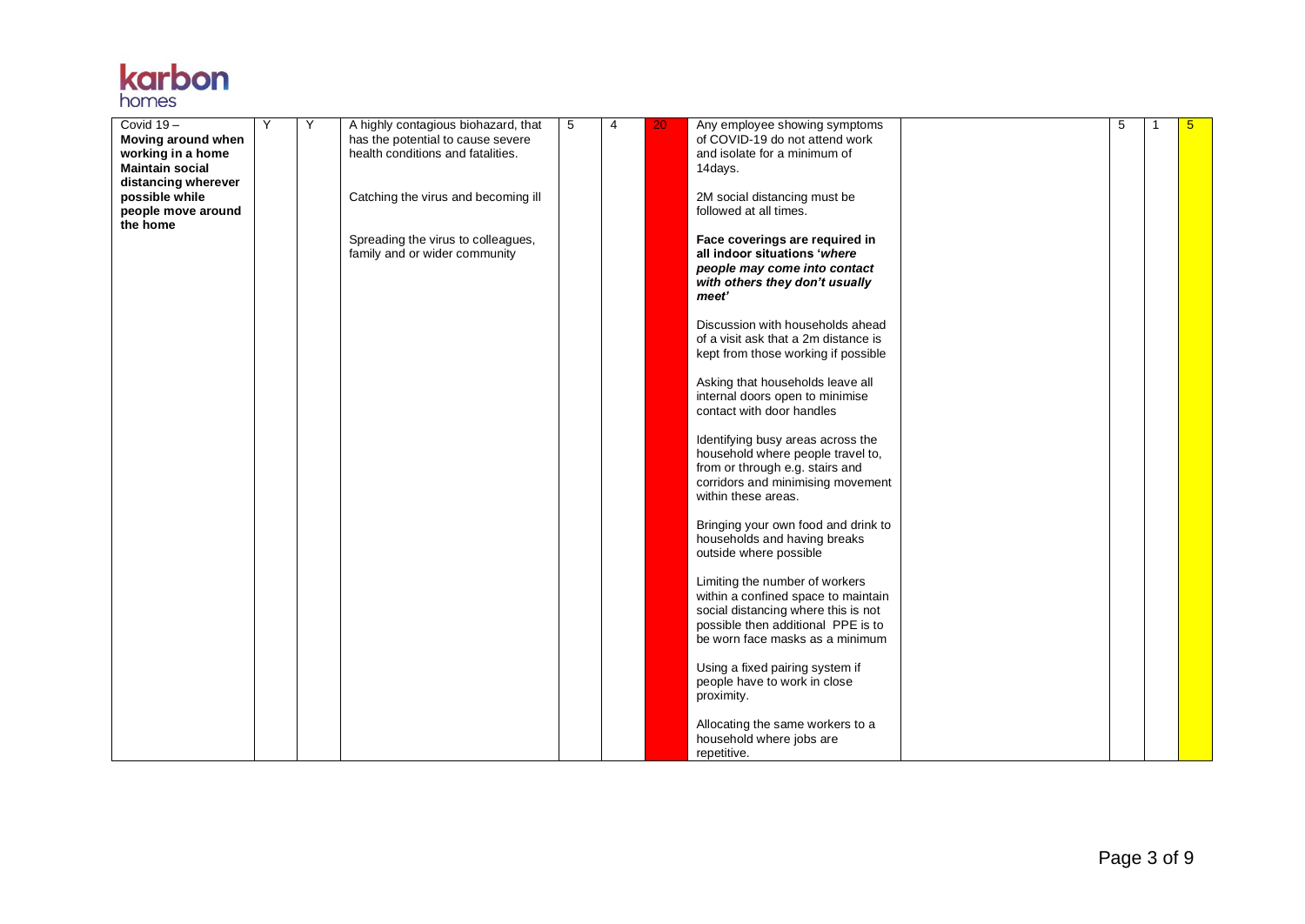

| Covid 19-<br>Moving around when<br>working in a home<br><b>Maintain social</b><br>distancing wherever | Y | Y | A highly contagious biohazard, that<br>has the potential to cause severe<br>health conditions and fatalities. | 5 | 4 | 20 | Any employee showing symptoms<br>of COVID-19 do not attend work<br>and isolate for a minimum of<br>14days.                                                                            | 5 | $5\overline{)}$ |
|-------------------------------------------------------------------------------------------------------|---|---|---------------------------------------------------------------------------------------------------------------|---|---|----|---------------------------------------------------------------------------------------------------------------------------------------------------------------------------------------|---|-----------------|
| possible while<br>people move around<br>the home                                                      |   |   | Catching the virus and becoming ill                                                                           |   |   |    | 2M social distancing must be<br>followed at all times.                                                                                                                                |   |                 |
|                                                                                                       |   |   | Spreading the virus to colleagues,<br>family and or wider community                                           |   |   |    | Face coverings are required in<br>all indoor situations 'where<br>people may come into contact<br>with others they don't usually<br>meet'                                             |   |                 |
|                                                                                                       |   |   |                                                                                                               |   |   |    | Discussion with households ahead<br>of a visit ask that a 2m distance is<br>kept from those working if possible                                                                       |   |                 |
|                                                                                                       |   |   |                                                                                                               |   |   |    | Asking that households leave all<br>internal doors open to minimise<br>contact with door handles                                                                                      |   |                 |
|                                                                                                       |   |   |                                                                                                               |   |   |    | Identifying busy areas across the<br>household where people travel to,<br>from or through e.g. stairs and<br>corridors and minimising movement<br>within these areas.                 |   |                 |
|                                                                                                       |   |   |                                                                                                               |   |   |    | Bringing your own food and drink to<br>households and having breaks<br>outside where possible                                                                                         |   |                 |
|                                                                                                       |   |   |                                                                                                               |   |   |    | Limiting the number of workers<br>within a confined space to maintain<br>social distancing where this is not<br>possible then additional PPE is to<br>be worn face masks as a minimum |   |                 |
|                                                                                                       |   |   |                                                                                                               |   |   |    | Using a fixed pairing system if<br>people have to work in close<br>proximity.                                                                                                         |   |                 |
|                                                                                                       |   |   |                                                                                                               |   |   |    | Allocating the same workers to a<br>household where jobs are<br>repetitive.                                                                                                           |   |                 |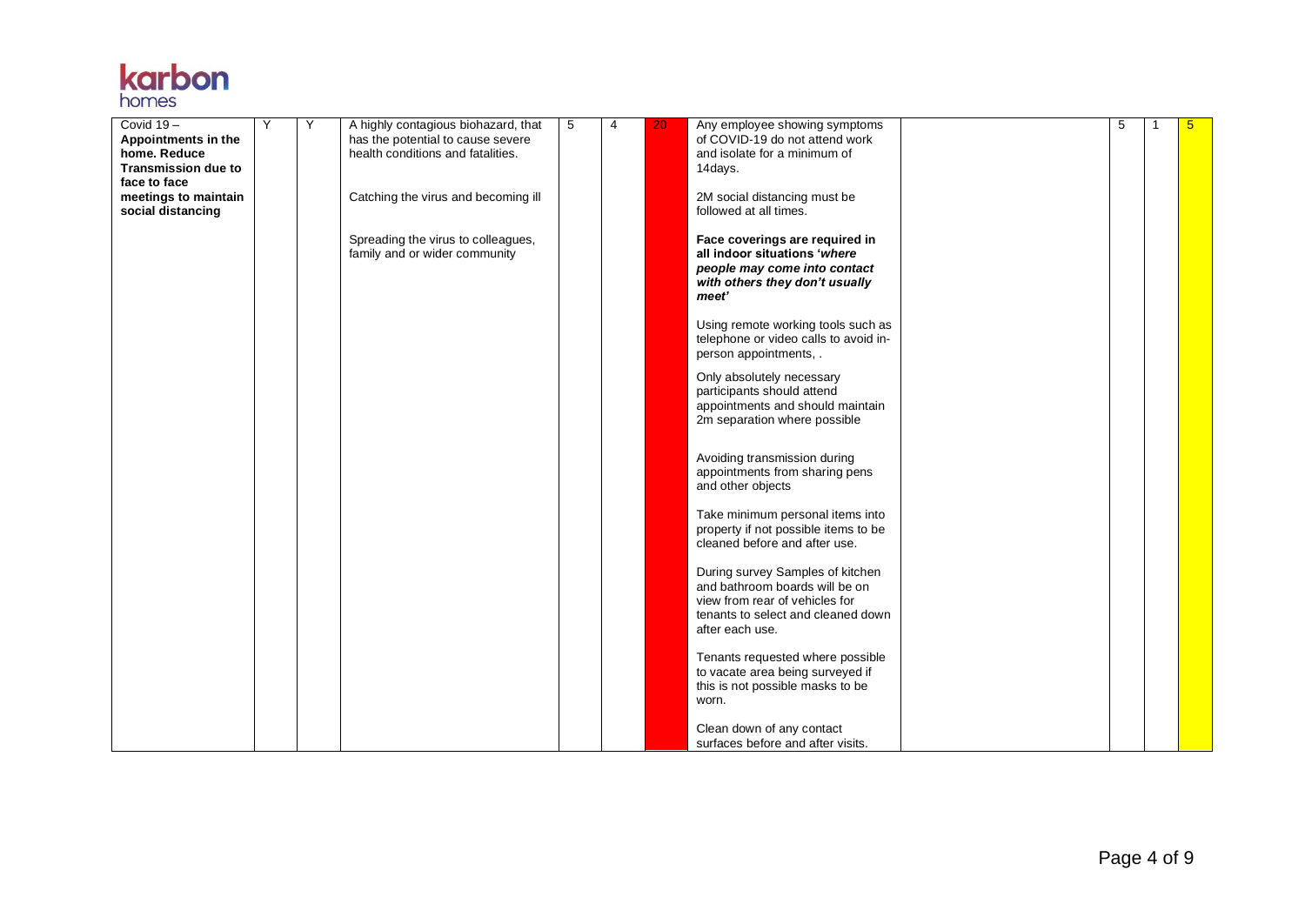

| Covid $19-$                               | Y | Y | A highly contagious biohazard, that                                    | 5 | $\overline{4}$ | 20 | Any employee showing symptoms                                                                                                                                 | 5 | 1 | $5\overline{)}$ |
|-------------------------------------------|---|---|------------------------------------------------------------------------|---|----------------|----|---------------------------------------------------------------------------------------------------------------------------------------------------------------|---|---|-----------------|
| Appointments in the<br>home. Reduce       |   |   | has the potential to cause severe<br>health conditions and fatalities. |   |                |    | of COVID-19 do not attend work<br>and isolate for a minimum of                                                                                                |   |   |                 |
| <b>Transmission due to</b>                |   |   |                                                                        |   |                |    | 14days.                                                                                                                                                       |   |   |                 |
| face to face                              |   |   |                                                                        |   |                |    |                                                                                                                                                               |   |   |                 |
| meetings to maintain<br>social distancing |   |   | Catching the virus and becoming ill                                    |   |                |    | 2M social distancing must be<br>followed at all times.                                                                                                        |   |   |                 |
|                                           |   |   | Spreading the virus to colleagues,<br>family and or wider community    |   |                |    | Face coverings are required in<br>all indoor situations 'where<br>people may come into contact<br>with others they don't usually<br>meet'                     |   |   |                 |
|                                           |   |   |                                                                        |   |                |    | Using remote working tools such as<br>telephone or video calls to avoid in-<br>person appointments, .                                                         |   |   |                 |
|                                           |   |   |                                                                        |   |                |    | Only absolutely necessary<br>participants should attend<br>appointments and should maintain<br>2m separation where possible                                   |   |   |                 |
|                                           |   |   |                                                                        |   |                |    | Avoiding transmission during<br>appointments from sharing pens<br>and other objects                                                                           |   |   |                 |
|                                           |   |   |                                                                        |   |                |    | Take minimum personal items into<br>property if not possible items to be<br>cleaned before and after use.                                                     |   |   |                 |
|                                           |   |   |                                                                        |   |                |    | During survey Samples of kitchen<br>and bathroom boards will be on<br>view from rear of vehicles for<br>tenants to select and cleaned down<br>after each use. |   |   |                 |
|                                           |   |   |                                                                        |   |                |    | Tenants requested where possible<br>to vacate area being surveyed if<br>this is not possible masks to be<br>worn.                                             |   |   |                 |
|                                           |   |   |                                                                        |   |                |    | Clean down of any contact<br>surfaces before and after visits.                                                                                                |   |   |                 |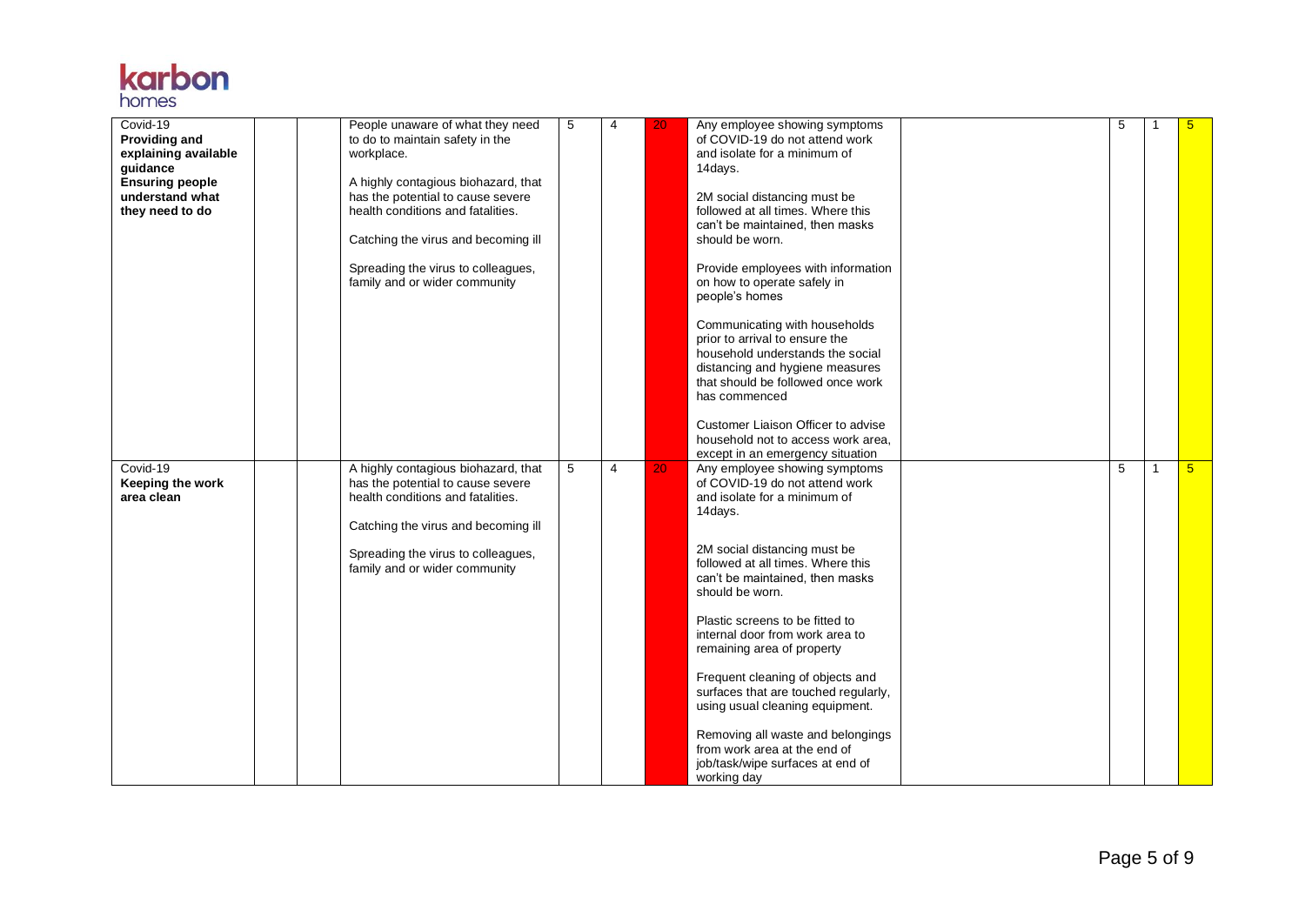

| Covid-19<br><b>Providing and</b><br>explaining available<br>guidance<br><b>Ensuring people</b><br>understand what<br>they need to do | People unaware of what they need<br>to do to maintain safety in the<br>workplace.<br>A highly contagious biohazard, that<br>has the potential to cause severe<br>health conditions and fatalities.<br>Catching the virus and becoming ill<br>Spreading the virus to colleagues,<br>family and or wider community | 5 | $\overline{4}$ | 20 | Any employee showing symptoms<br>of COVID-19 do not attend work<br>and isolate for a minimum of<br>14days.<br>2M social distancing must be<br>followed at all times. Where this<br>can't be maintained, then masks<br>should be worn.<br>Provide employees with information<br>on how to operate safely in<br>people's homes<br>Communicating with households<br>prior to arrival to ensure the<br>household understands the social<br>distancing and hygiene measures<br>that should be followed once work<br>has commenced<br>Customer Liaison Officer to advise<br>household not to access work area,<br>except in an emergency situation | 5 |                | $5\overline{)}$ |
|--------------------------------------------------------------------------------------------------------------------------------------|------------------------------------------------------------------------------------------------------------------------------------------------------------------------------------------------------------------------------------------------------------------------------------------------------------------|---|----------------|----|----------------------------------------------------------------------------------------------------------------------------------------------------------------------------------------------------------------------------------------------------------------------------------------------------------------------------------------------------------------------------------------------------------------------------------------------------------------------------------------------------------------------------------------------------------------------------------------------------------------------------------------------|---|----------------|-----------------|
| Covid-19<br>Keeping the work<br>area clean                                                                                           | A highly contagious biohazard, that<br>has the potential to cause severe<br>health conditions and fatalities.<br>Catching the virus and becoming ill<br>Spreading the virus to colleagues,<br>family and or wider community                                                                                      | 5 | $\overline{4}$ | 20 | Any employee showing symptoms<br>of COVID-19 do not attend work<br>and isolate for a minimum of<br>14days.<br>2M social distancing must be<br>followed at all times. Where this<br>can't be maintained, then masks<br>should be worn.<br>Plastic screens to be fitted to<br>internal door from work area to<br>remaining area of property<br>Frequent cleaning of objects and<br>surfaces that are touched regularly,<br>using usual cleaning equipment.<br>Removing all waste and belongings<br>from work area at the end of<br>job/task/wipe surfaces at end of<br>working day                                                             | 5 | $\overline{1}$ | 5 <sup>5</sup>  |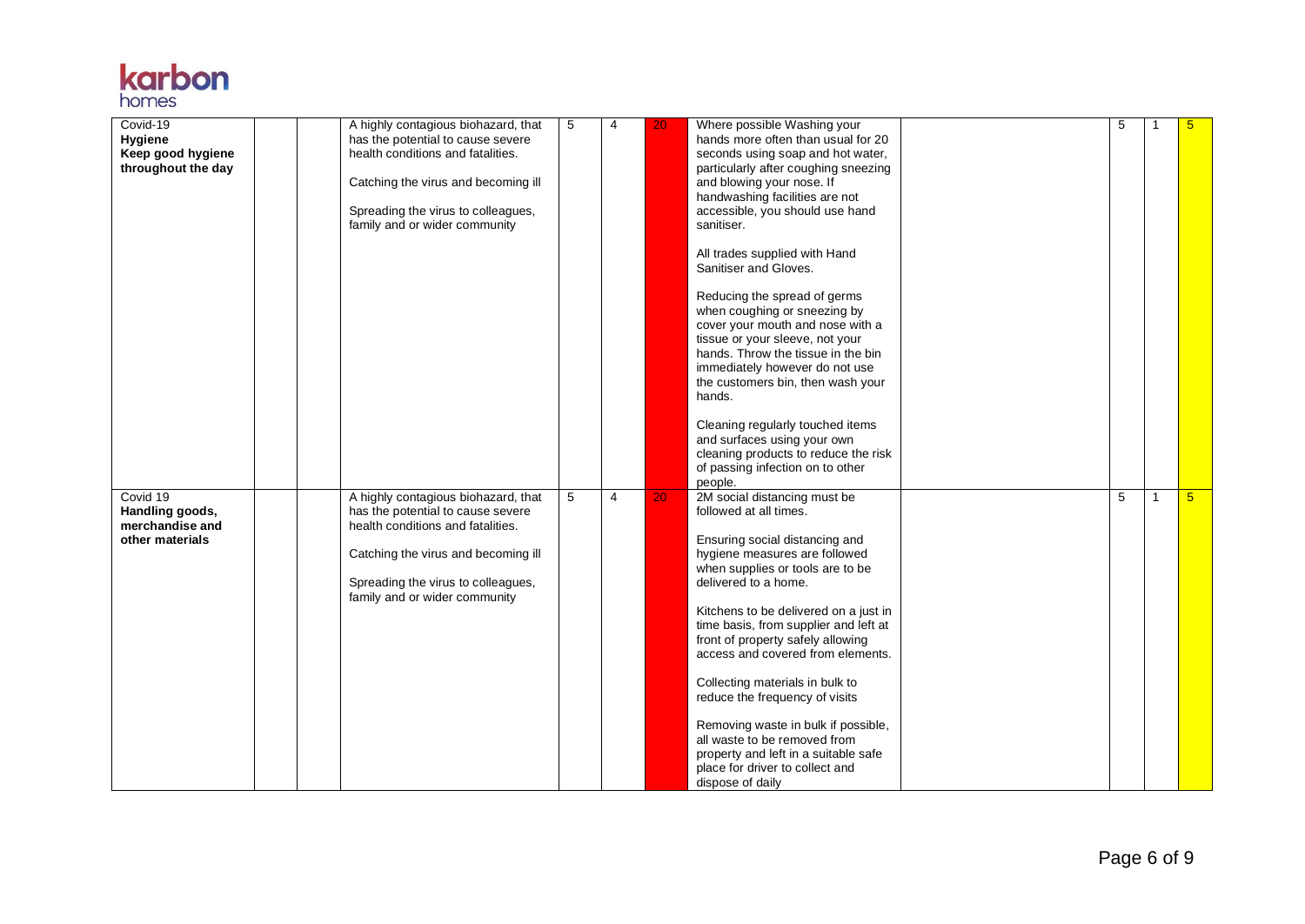| <b>Karpon</b> |
|---------------|
|               |
| homes         |

| Covid-19<br>Hygiene<br>Keep good hygiene<br>throughout the day    |  | A highly contagious biohazard, that<br>has the potential to cause severe<br>health conditions and fatalities.<br>Catching the virus and becoming ill<br>Spreading the virus to colleagues,<br>family and or wider community | 5 | 4 | 20 | Where possible Washing your<br>hands more often than usual for 20<br>seconds using soap and hot water,<br>particularly after coughing sneezing<br>and blowing your nose. If<br>handwashing facilities are not<br>accessible, you should use hand<br>sanitiser.<br>All trades supplied with Hand<br>Sanitiser and Gloves.<br>Reducing the spread of germs<br>when coughing or sneezing by<br>cover your mouth and nose with a<br>tissue or your sleeve, not your<br>hands. Throw the tissue in the bin<br>immediately however do not use<br>the customers bin, then wash your<br>hands.<br>Cleaning regularly touched items<br>and surfaces using your own<br>cleaning products to reduce the risk<br>of passing infection on to other<br>people. | 5 |    | $5\overline{)}$ |
|-------------------------------------------------------------------|--|-----------------------------------------------------------------------------------------------------------------------------------------------------------------------------------------------------------------------------|---|---|----|--------------------------------------------------------------------------------------------------------------------------------------------------------------------------------------------------------------------------------------------------------------------------------------------------------------------------------------------------------------------------------------------------------------------------------------------------------------------------------------------------------------------------------------------------------------------------------------------------------------------------------------------------------------------------------------------------------------------------------------------------|---|----|-----------------|
| Covid 19<br>Handling goods,<br>merchandise and<br>other materials |  | A highly contagious biohazard, that<br>has the potential to cause severe<br>health conditions and fatalities.<br>Catching the virus and becoming ill<br>Spreading the virus to colleagues,<br>family and or wider community | 5 | 4 | 20 | 2M social distancing must be<br>followed at all times.<br>Ensuring social distancing and<br>hygiene measures are followed<br>when supplies or tools are to be<br>delivered to a home.<br>Kitchens to be delivered on a just in<br>time basis, from supplier and left at<br>front of property safely allowing<br>access and covered from elements.<br>Collecting materials in bulk to<br>reduce the frequency of visits<br>Removing waste in bulk if possible,<br>all waste to be removed from<br>property and left in a suitable safe<br>place for driver to collect and<br>dispose of daily                                                                                                                                                     | 5 | -1 | 5 <sub>5</sub>  |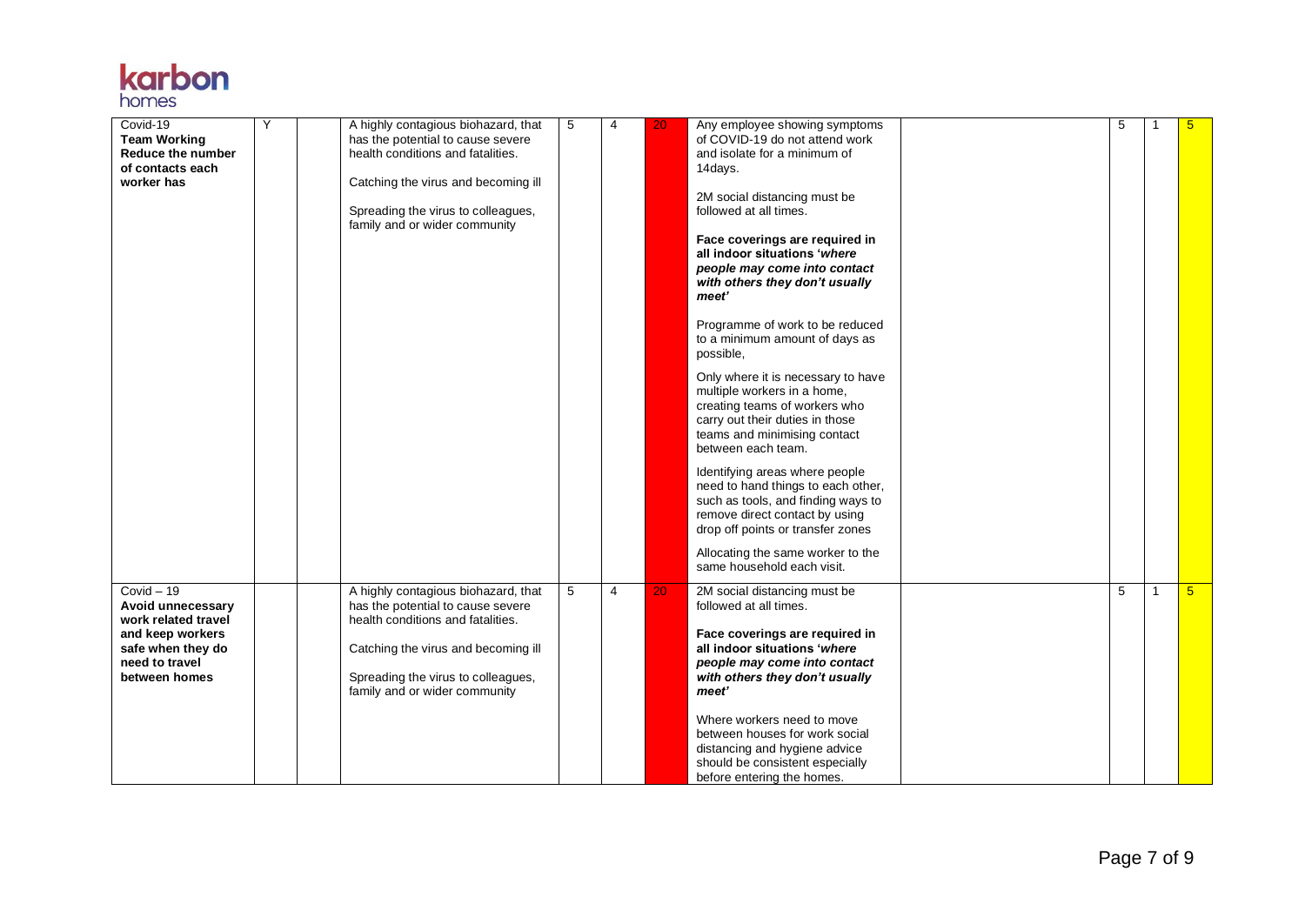| <b>Karpon</b> |  |
|---------------|--|
| homes         |  |

| Covid-19<br><b>Team Working</b><br>Reduce the number<br>of contacts each<br>worker has                                               | Y | A highly contagious biohazard, that<br>has the potential to cause severe<br>health conditions and fatalities.<br>Catching the virus and becoming ill<br>Spreading the virus to colleagues,<br>family and or wider community | 5 | 4              | 20              | Any employee showing symptoms<br>of COVID-19 do not attend work<br>and isolate for a minimum of<br>14days.<br>2M social distancing must be<br>followed at all times.<br>Face coverings are required in<br>all indoor situations 'where<br>people may come into contact<br>with others they don't usually<br>meet'<br>Programme of work to be reduced<br>to a minimum amount of days as<br>possible,<br>Only where it is necessary to have<br>multiple workers in a home,<br>creating teams of workers who<br>carry out their duties in those<br>teams and minimising contact<br>between each team.<br>Identifying areas where people<br>need to hand things to each other,<br>such as tools, and finding ways to<br>remove direct contact by using<br>drop off points or transfer zones<br>Allocating the same worker to the<br>same household each visit. | 5 | -1           | 5 <sub>5</sub> |
|--------------------------------------------------------------------------------------------------------------------------------------|---|-----------------------------------------------------------------------------------------------------------------------------------------------------------------------------------------------------------------------------|---|----------------|-----------------|------------------------------------------------------------------------------------------------------------------------------------------------------------------------------------------------------------------------------------------------------------------------------------------------------------------------------------------------------------------------------------------------------------------------------------------------------------------------------------------------------------------------------------------------------------------------------------------------------------------------------------------------------------------------------------------------------------------------------------------------------------------------------------------------------------------------------------------------------------|---|--------------|----------------|
| $Covid - 19$<br>Avoid unnecessary<br>work related travel<br>and keep workers<br>safe when they do<br>need to travel<br>between homes |   | A highly contagious biohazard, that<br>has the potential to cause severe<br>health conditions and fatalities.<br>Catching the virus and becoming ill<br>Spreading the virus to colleagues,<br>family and or wider community | 5 | $\overline{4}$ | $\overline{20}$ | 2M social distancing must be<br>followed at all times.<br>Face coverings are required in<br>all indoor situations 'where<br>people may come into contact<br>with others they don't usually<br>meet'<br>Where workers need to move<br>between houses for work social<br>distancing and hygiene advice<br>should be consistent especially<br>before entering the homes.                                                                                                                                                                                                                                                                                                                                                                                                                                                                                      | 5 | $\mathbf{1}$ | 5 <sup>5</sup> |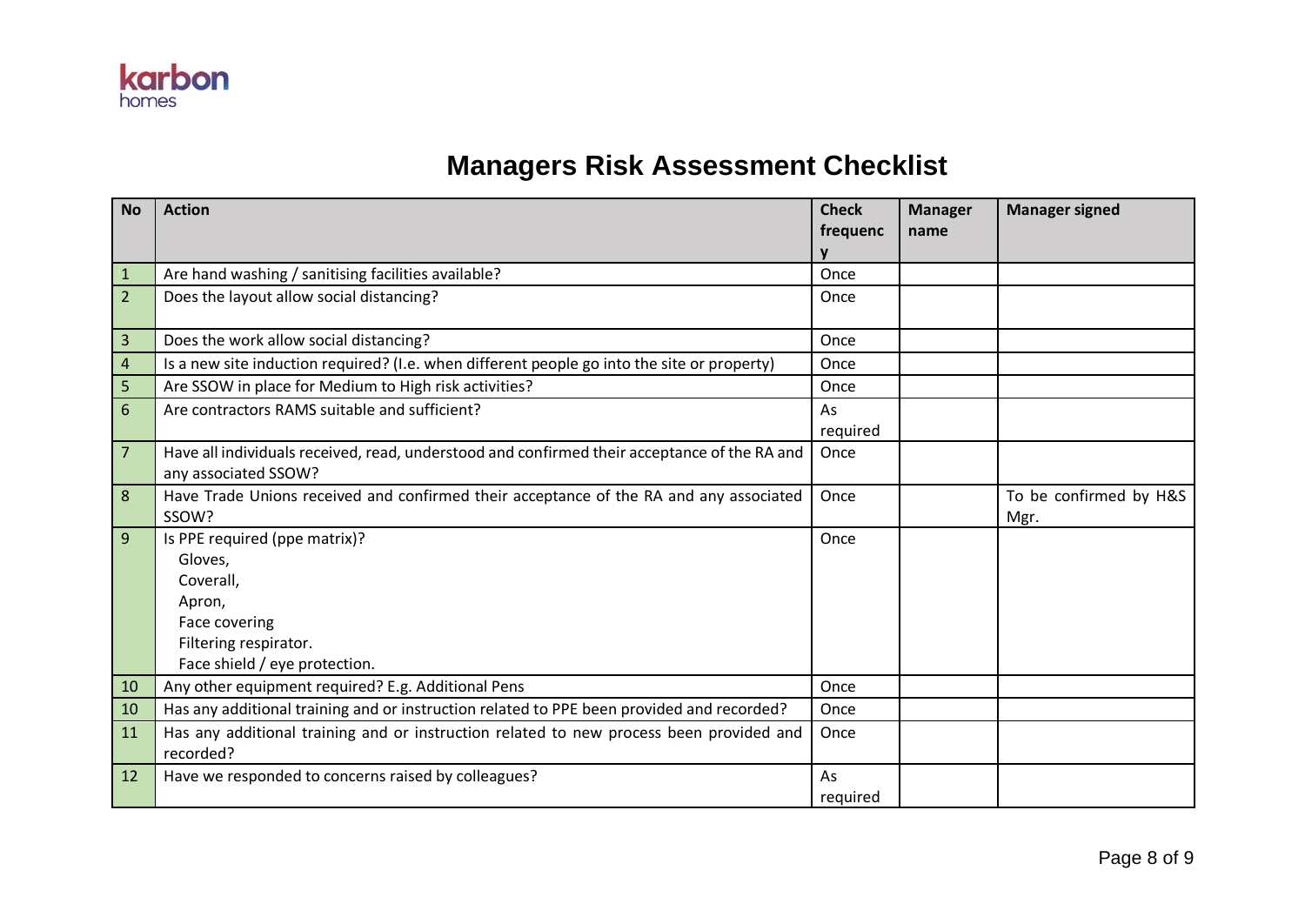

## **Managers Risk Assessment Checklist**

| <b>No</b>      | <b>Action</b>                                                                                                                              | <b>Check</b><br>frequenc | <b>Manager</b><br>name | <b>Manager signed</b>          |
|----------------|--------------------------------------------------------------------------------------------------------------------------------------------|--------------------------|------------------------|--------------------------------|
| $\mathbf{1}$   | Are hand washing / sanitising facilities available?                                                                                        | Once                     |                        |                                |
| $\overline{2}$ | Does the layout allow social distancing?                                                                                                   | Once                     |                        |                                |
| $\overline{3}$ | Does the work allow social distancing?                                                                                                     | Once                     |                        |                                |
| $\overline{4}$ | Is a new site induction required? (I.e. when different people go into the site or property)                                                | Once                     |                        |                                |
| 5              | Are SSOW in place for Medium to High risk activities?                                                                                      | Once                     |                        |                                |
| 6              | Are contractors RAMS suitable and sufficient?                                                                                              | As<br>required           |                        |                                |
| $\overline{7}$ | Have all individuals received, read, understood and confirmed their acceptance of the RA and<br>any associated SSOW?                       | Once                     |                        |                                |
| $\bf 8$        | Have Trade Unions received and confirmed their acceptance of the RA and any associated<br>SSOW?                                            | Once                     |                        | To be confirmed by H&S<br>Mgr. |
| 9              | Is PPE required (ppe matrix)?<br>Gloves,<br>Coverall,<br>Apron,<br>Face covering<br>Filtering respirator.<br>Face shield / eye protection. | Once                     |                        |                                |
| 10             | Any other equipment required? E.g. Additional Pens                                                                                         | Once                     |                        |                                |
| 10             | Has any additional training and or instruction related to PPE been provided and recorded?                                                  | Once                     |                        |                                |
| 11             | Has any additional training and or instruction related to new process been provided and<br>recorded?                                       | Once                     |                        |                                |
| 12             | Have we responded to concerns raised by colleagues?                                                                                        | As<br>required           |                        |                                |